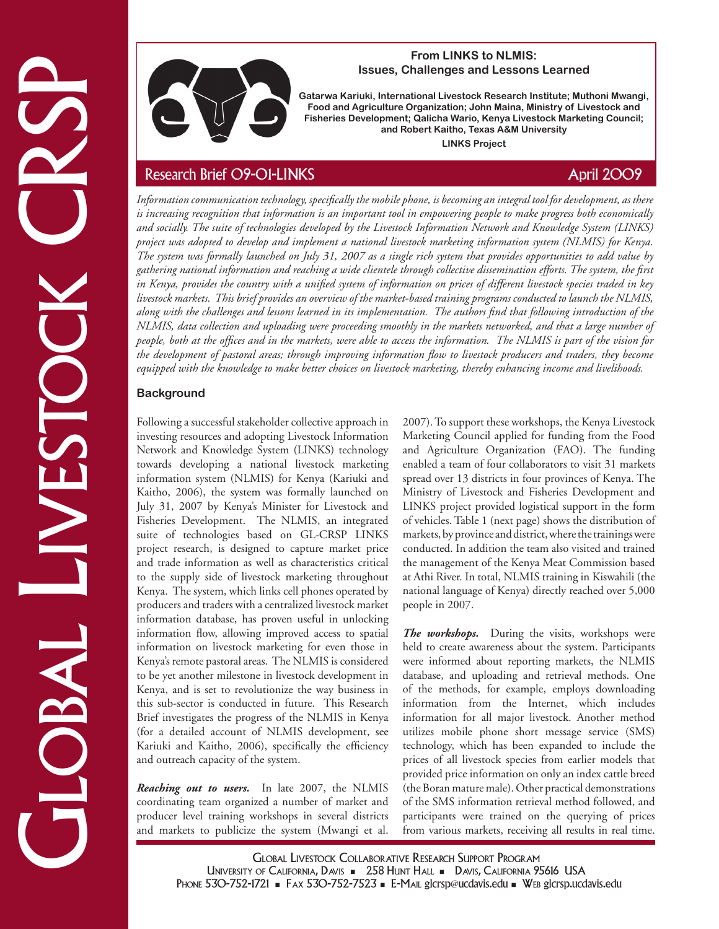

#### **From LINKS to NLMIS: Issues, Challenges and Lessons Learned**

**Gatarwa Kariuki, International Livestock Research Institute; Muthoni Mwangi, Food and Agriculture Organization; John Maina, Ministry of Livestock and Fisheries Development; Qalicha Wario, Kenya Livestock Marketing Council; and Robert Kaitho, Texas A&M University LINKS Project**

Issues, Challenges and Lessence Learned<br>
From an Angle Hamilton Communication (here are considered and the constraint of the constraint of the constraint of the constraint of the constraint of the constraint of the constr *Information communication technology, specifically the mobile phone, is becoming an integral tool for development, as there is increasing recognition that information is an important tool in empowering people to make progress both economically and socially. The suite of technologies developed by the Livestock Information Network and Knowledge System (LINKS) project was adopted to develop and implement a national livestock marketing information system (NLMIS) for Kenya. The system was formally launched on July 31, 2007 as a single rich system that provides opportunities to add value by gathering national information and reaching a wide clientele through collective dissemination efforts. The system, the first in Kenya, provides the country with a unified system of information on prices of different livestock species traded in key livestock markets. This brief provides an overview of the market-based training programs conducted to launch the NLMIS, along with the challenges and lessons learned in its implementation. The authors find that following introduction of the NLMIS, data collection and uploading were proceeding smoothly in the markets networked, and that a large number of people, both at the offices and in the markets, were able to access the information. The NLMIS is part of the vision for the development of pastoral areas; through improving information flow to livestock producers and traders, they become equipped with the knowledge to make better choices on livestock marketing, thereby enhancing income and livelihoods.* 

# **Background**

Following a successful stakeholder collective approach in investing resources and adopting Livestock Information Network and Knowledge System (LINKS) technology towards developing a national livestock marketing information system (NLMIS) for Kenya (Kariuki and Kaitho, 2006), the system was formally launched on July 31, 2007 by Kenya's Minister for Livestock and Fisheries Development. The NLMIS, an integrated suite of technologies based on GL-CRSP LINKS project research, is designed to capture market price and trade information as well as characteristics critical to the supply side of livestock marketing throughout Kenya. The system, which links cell phones operated by producers and traders with a centralized livestock market information database, has proven useful in unlocking information flow, allowing improved access to spatial information on livestock marketing for even those in Kenya's remote pastoral areas. The NLMIS is considered to be yet another milestone in livestock development in Kenya, and is set to revolutionize the way business in this sub-sector is conducted in future. This Research Brief investigates the progress of the NLMIS in Kenya (for a detailed account of NLMIS development, see Kariuki and Kaitho, 2006), specifically the efficiency and outreach capacity of the system.

*Reaching out to users.* In late 2007, the NLMIS coordinating team organized a number of market and producer level training workshops in several districts and markets to publicize the system (Mwangi et al.

2007). To support these workshops, the Kenya Livestock Marketing Council applied for funding from the Food and Agriculture Organization (FAO). The funding enabled a team of four collaborators to visit 31 markets spread over 13 districts in four provinces of Kenya. The Ministry of Livestock and Fisheries Development and LINKS project provided logistical support in the form of vehicles. Table 1 (next page) shows the distribution of markets, by province and district, where the trainings were conducted. In addition the team also visited and trained the management of the Kenya Meat Commission based at Athi River. In total, NLMIS training in Kiswahili (the national language of Kenya) directly reached over 5,000 people in 2007.

*The workshops.* During the visits, workshops were held to create awareness about the system. Participants were informed about reporting markets, the NLMIS database, and uploading and retrieval methods. One of the methods, for example, employs downloading information from the Internet, which includes information for all major livestock. Another method utilizes mobile phone short message service (SMS) technology, which has been expanded to include the prices of all livestock species from earlier models that provided price information on only an index cattle breed (the Boran mature male). Other practical demonstrations of the SMS information retrieval method followed, and participants were trained on the querying of prices from various markets, receiving all results in real time.

Global Livestock Collaborative Research Support Program UNIVERSITY OF CALIFORNIA, DAVIS - 258 HUNT HALL - DAVIS, CALIFORNIA 95616 USA PHONE 530-752-1721 - FAX 530-752-7523 - E-MAIL glcrsp@ucdavis.edu - WEB glcrsp.ucdavis.edu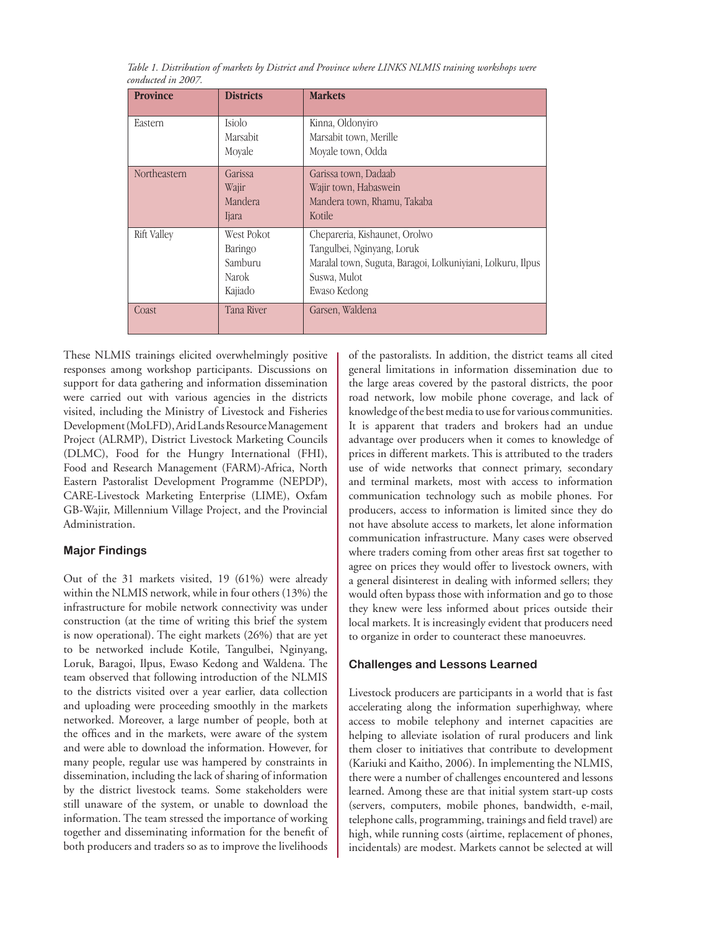| Table 1. Distribution of markets by District and Province where LINKS NLMIS training workshops were |  |  |  |  |
|-----------------------------------------------------------------------------------------------------|--|--|--|--|
| conducted in 2007.                                                                                  |  |  |  |  |

| <b>Province</b>    | <b>Districts</b> | <b>Markets</b>                                              |
|--------------------|------------------|-------------------------------------------------------------|
| Eastern            | Isiolo           | Kinna, Oldonyiro                                            |
|                    | Marsabit         | Marsabit town, Merille                                      |
|                    | Moyale           | Moyale town, Odda                                           |
| Northeastern       | Garissa          | Garissa town, Dadaab                                        |
|                    | Wajir            | Wajir town, Habaswein                                       |
|                    | Mandera          | Mandera town, Rhamu, Takaba                                 |
|                    | Ijara            | Kotile                                                      |
| <b>Rift Valley</b> | West Pokot       | Chepareria, Kishaunet, Orolwo                               |
|                    | Baringo          | Tangulbei, Nginyang, Loruk                                  |
|                    | Samburu          | Maralal town, Suguta, Baragoi, Lolkuniyiani, Lolkuru, Ilpus |
|                    | Narok            | Suswa, Mulot                                                |
|                    | Kajiado          | Ewaso Kedong                                                |
| Coast              | Tana River       | Garsen, Waldena                                             |

These NLMIS trainings elicited overwhelmingly positive responses among workshop participants. Discussions on support for data gathering and information dissemination were carried out with various agencies in the districts visited, including the Ministry of Livestock and Fisheries Development (MoLFD), Arid Lands Resource Management Project (ALRMP), District Livestock Marketing Councils (DLMC), Food for the Hungry International (FHI), Food and Research Management (FARM)-Africa, North Eastern Pastoralist Development Programme (NEPDP), CARE-Livestock Marketing Enterprise (LIME), Oxfam GB-Wajir, Millennium Village Project, and the Provincial Administration.

### **Major Findings**

Out of the 31 markets visited, 19 (61%) were already within the NLMIS network, while in four others (13%) the infrastructure for mobile network connectivity was under construction (at the time of writing this brief the system is now operational). The eight markets (26%) that are yet to be networked include Kotile, Tangulbei, Nginyang, Loruk, Baragoi, Ilpus, Ewaso Kedong and Waldena. The team observed that following introduction of the NLMIS to the districts visited over a year earlier, data collection and uploading were proceeding smoothly in the markets networked. Moreover, a large number of people, both at the offices and in the markets, were aware of the system and were able to download the information. However, for many people, regular use was hampered by constraints in dissemination, including the lack of sharing of information by the district livestock teams. Some stakeholders were still unaware of the system, or unable to download the information. The team stressed the importance of working together and disseminating information for the benefit of both producers and traders so as to improve the livelihoods

of the pastoralists. In addition, the district teams all cited general limitations in information dissemination due to the large areas covered by the pastoral districts, the poor road network, low mobile phone coverage, and lack of knowledge of the best media to use for various communities. It is apparent that traders and brokers had an undue advantage over producers when it comes to knowledge of prices in different markets. This is attributed to the traders use of wide networks that connect primary, secondary and terminal markets, most with access to information communication technology such as mobile phones. For producers, access to information is limited since they do not have absolute access to markets, let alone information communication infrastructure. Many cases were observed where traders coming from other areas first sat together to agree on prices they would offer to livestock owners, with a general disinterest in dealing with informed sellers; they would often bypass those with information and go to those they knew were less informed about prices outside their local markets. It is increasingly evident that producers need to organize in order to counteract these manoeuvres.

### **Challenges and Lessons Learned**

Livestock producers are participants in a world that is fast accelerating along the information superhighway, where access to mobile telephony and internet capacities are helping to alleviate isolation of rural producers and link them closer to initiatives that contribute to development (Kariuki and Kaitho, 2006). In implementing the NLMIS, there were a number of challenges encountered and lessons learned. Among these are that initial system start-up costs (servers, computers, mobile phones, bandwidth, e-mail, telephone calls, programming, trainings and field travel) are high, while running costs (airtime, replacement of phones, incidentals) are modest. Markets cannot be selected at will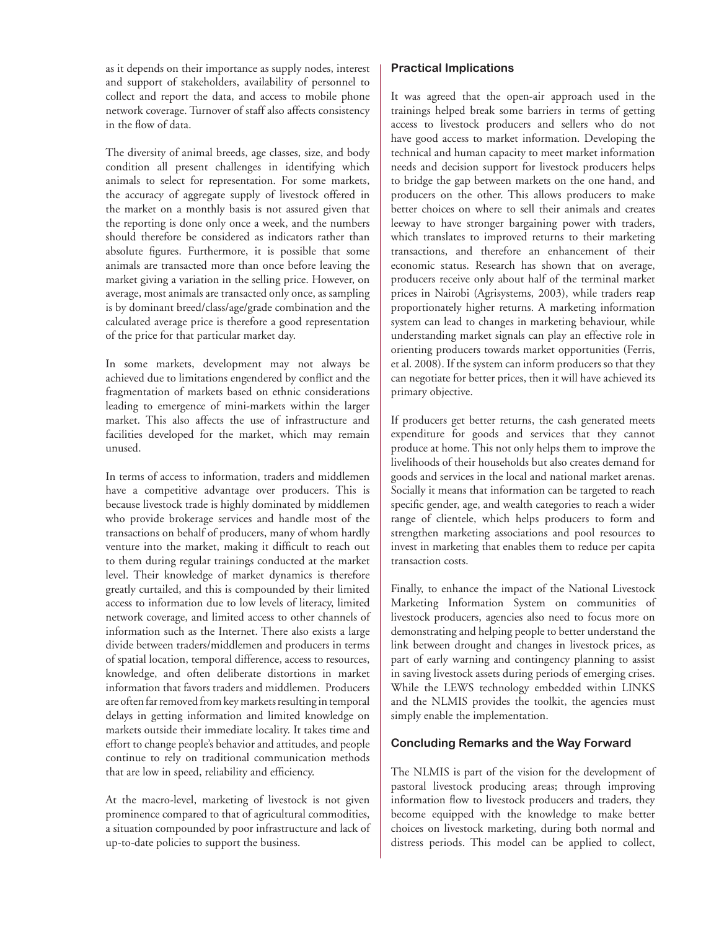as it depends on their importance as supply nodes, interest and support of stakeholders, availability of personnel to collect and report the data, and access to mobile phone network coverage. Turnover of staff also affects consistency in the flow of data.

The diversity of animal breeds, age classes, size, and body condition all present challenges in identifying which animals to select for representation. For some markets, the accuracy of aggregate supply of livestock offered in the market on a monthly basis is not assured given that the reporting is done only once a week, and the numbers should therefore be considered as indicators rather than absolute figures. Furthermore, it is possible that some animals are transacted more than once before leaving the market giving a variation in the selling price. However, on average, most animals are transacted only once, as sampling is by dominant breed/class/age/grade combination and the calculated average price is therefore a good representation of the price for that particular market day.

In some markets, development may not always be achieved due to limitations engendered by conflict and the fragmentation of markets based on ethnic considerations leading to emergence of mini-markets within the larger market. This also affects the use of infrastructure and facilities developed for the market, which may remain unused.

In terms of access to information, traders and middlemen have a competitive advantage over producers. This is because livestock trade is highly dominated by middlemen who provide brokerage services and handle most of the transactions on behalf of producers, many of whom hardly venture into the market, making it difficult to reach out to them during regular trainings conducted at the market level. Their knowledge of market dynamics is therefore greatly curtailed, and this is compounded by their limited access to information due to low levels of literacy, limited network coverage, and limited access to other channels of information such as the Internet. There also exists a large divide between traders/middlemen and producers in terms of spatial location, temporal difference, access to resources, knowledge, and often deliberate distortions in market information that favors traders and middlemen. Producers are often far removed from key markets resulting in temporal delays in getting information and limited knowledge on markets outside their immediate locality. It takes time and effort to change people's behavior and attitudes, and people continue to rely on traditional communication methods that are low in speed, reliability and efficiency.

At the macro-level, marketing of livestock is not given prominence compared to that of agricultural commodities, a situation compounded by poor infrastructure and lack of up-to-date policies to support the business.

## **Practical Implications**

It was agreed that the open-air approach used in the trainings helped break some barriers in terms of getting access to livestock producers and sellers who do not have good access to market information. Developing the technical and human capacity to meet market information needs and decision support for livestock producers helps to bridge the gap between markets on the one hand, and producers on the other. This allows producers to make better choices on where to sell their animals and creates leeway to have stronger bargaining power with traders, which translates to improved returns to their marketing transactions, and therefore an enhancement of their economic status. Research has shown that on average, producers receive only about half of the terminal market prices in Nairobi (Agrisystems, 2003), while traders reap proportionately higher returns. A marketing information system can lead to changes in marketing behaviour, while understanding market signals can play an effective role in orienting producers towards market opportunities (Ferris, et al. 2008). If the system can inform producers so that they can negotiate for better prices, then it will have achieved its primary objective.

If producers get better returns, the cash generated meets expenditure for goods and services that they cannot produce at home. This not only helps them to improve the livelihoods of their households but also creates demand for goods and services in the local and national market arenas. Socially it means that information can be targeted to reach specific gender, age, and wealth categories to reach a wider range of clientele, which helps producers to form and strengthen marketing associations and pool resources to invest in marketing that enables them to reduce per capita transaction costs.

Finally, to enhance the impact of the National Livestock Marketing Information System on communities of livestock producers, agencies also need to focus more on demonstrating and helping people to better understand the link between drought and changes in livestock prices, as part of early warning and contingency planning to assist in saving livestock assets during periods of emerging crises. While the LEWS technology embedded within LINKS and the NLMIS provides the toolkit, the agencies must simply enable the implementation.

### **Concluding Remarks and the Way Forward**

The NLMIS is part of the vision for the development of pastoral livestock producing areas; through improving information flow to livestock producers and traders, they become equipped with the knowledge to make better choices on livestock marketing, during both normal and distress periods. This model can be applied to collect,